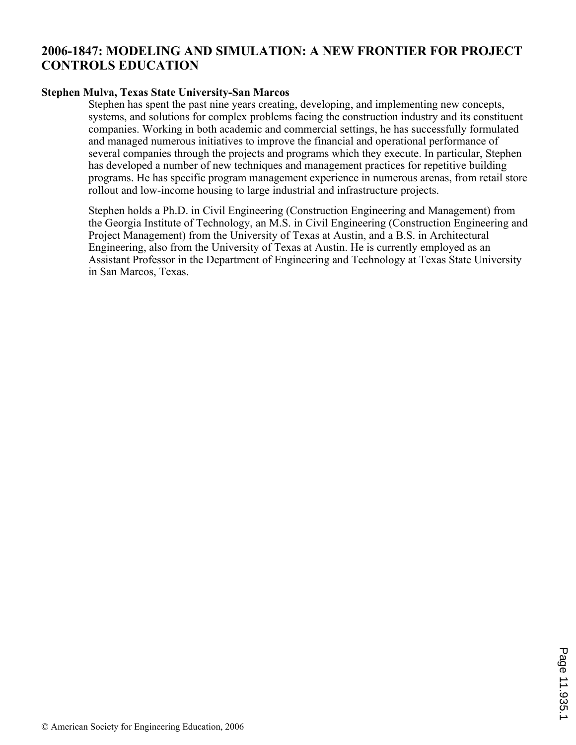# **2006-1847: MODELING AND SIMULATION: A NEW FRONTIER FOR PROJECT CONTROLS EDUCATION**

#### **Stephen Mulva, Texas State University-San Marcos**

Stephen has spent the past nine years creating, developing, and implementing new concepts, systems, and solutions for complex problems facing the construction industry and its constituent companies. Working in both academic and commercial settings, he has successfully formulated and managed numerous initiatives to improve the financial and operational performance of several companies through the projects and programs which they execute. In particular, Stephen has developed a number of new techniques and management practices for repetitive building programs. He has specific program management experience in numerous arenas, from retail store rollout and low-income housing to large industrial and infrastructure projects.

Stephen holds a Ph.D. in Civil Engineering (Construction Engineering and Management) from the Georgia Institute of Technology, an M.S. in Civil Engineering (Construction Engineering and Project Management) from the University of Texas at Austin, and a B.S. in Architectural Engineering, also from the University of Texas at Austin. He is currently employed as an Assistant Professor in the Department of Engineering and Technology at Texas State University in San Marcos, Texas.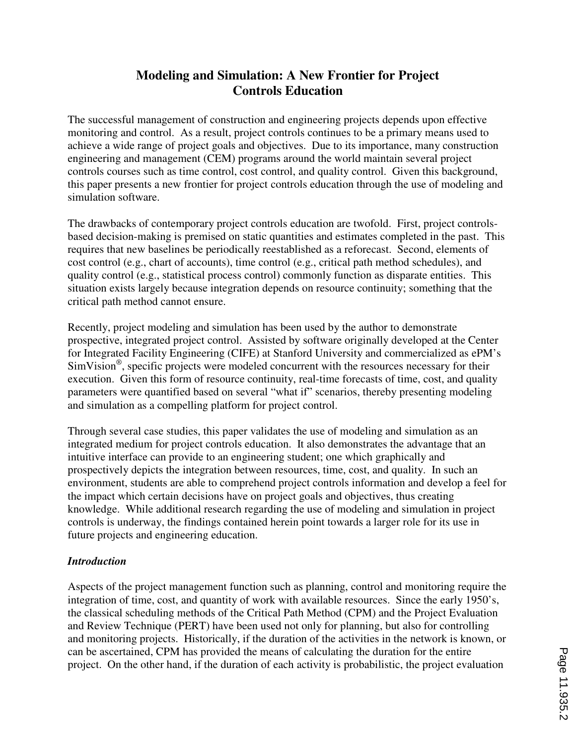# **Modeling and Simulation: A New Frontier for Project Controls Education**

The successful management of construction and engineering projects depends upon effective monitoring and control. As a result, project controls continues to be a primary means used to achieve a wide range of project goals and objectives. Due to its importance, many construction engineering and management (CEM) programs around the world maintain several project controls courses such as time control, cost control, and quality control. Given this background, this paper presents a new frontier for project controls education through the use of modeling and simulation software.

The drawbacks of contemporary project controls education are twofold. First, project controlsbased decision-making is premised on static quantities and estimates completed in the past. This requires that new baselines be periodically reestablished as a reforecast. Second, elements of cost control (e.g., chart of accounts), time control (e.g., critical path method schedules), and quality control (e.g., statistical process control) commonly function as disparate entities. This situation exists largely because integration depends on resource continuity; something that the critical path method cannot ensure.

Recently, project modeling and simulation has been used by the author to demonstrate prospective, integrated project control. Assisted by software originally developed at the Center for Integrated Facility Engineering (CIFE) at Stanford University and commercialized as ePM's SimVision® , specific projects were modeled concurrent with the resources necessary for their execution. Given this form of resource continuity, real-time forecasts of time, cost, and quality parameters were quantified based on several "what if" scenarios, thereby presenting modeling and simulation as a compelling platform for project control.

Through several case studies, this paper validates the use of modeling and simulation as an integrated medium for project controls education. It also demonstrates the advantage that an intuitive interface can provide to an engineering student; one which graphically and prospectively depicts the integration between resources, time, cost, and quality. In such an environment, students are able to comprehend project controls information and develop a feel for the impact which certain decisions have on project goals and objectives, thus creating knowledge. While additional research regarding the use of modeling and simulation in project controls is underway, the findings contained herein point towards a larger role for its use in future projects and engineering education.

### *Introduction*

Aspects of the project management function such as planning, control and monitoring require the integration of time, cost, and quantity of work with available resources. Since the early 1950's, the classical scheduling methods of the Critical Path Method (CPM) and the Project Evaluation and Review Technique (PERT) have been used not only for planning, but also for controlling and monitoring projects. Historically, if the duration of the activities in the network is known, or can be ascertained, CPM has provided the means of calculating the duration for the entire project. On the other hand, if the duration of each activity is probabilistic, the project evaluation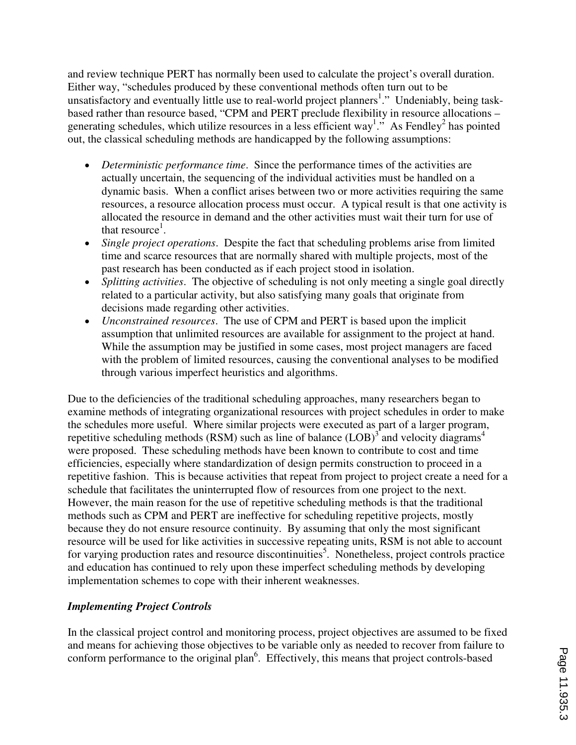and review technique PERT has normally been used to calculate the project's overall duration. Either way, "schedules produced by these conventional methods often turn out to be unsatisfactory and eventually little use to real-world project planners<sup>1</sup>." Undeniably, being taskbased rather than resource based, "CPM and PERT preclude flexibility in resource allocations – generating schedules, which utilize resources in a less efficient way<sup>1</sup>." As Fendley<sup>2</sup> has pointed out, the classical scheduling methods are handicapped by the following assumptions:

- *Deterministic performance time*. Since the performance times of the activities are actually uncertain, the sequencing of the individual activities must be handled on a dynamic basis. When a conflict arises between two or more activities requiring the same resources, a resource allocation process must occur. A typical result is that one activity is allocated the resource in demand and the other activities must wait their turn for use of that resource<sup>1</sup>.
- *Single project operations*. Despite the fact that scheduling problems arise from limited time and scarce resources that are normally shared with multiple projects, most of the past research has been conducted as if each project stood in isolation.
- *Splitting activities*. The objective of scheduling is not only meeting a single goal directly related to a particular activity, but also satisfying many goals that originate from decisions made regarding other activities.
- *Unconstrained resources*. The use of CPM and PERT is based upon the implicit assumption that unlimited resources are available for assignment to the project at hand. While the assumption may be justified in some cases, most project managers are faced with the problem of limited resources, causing the conventional analyses to be modified through various imperfect heuristics and algorithms.

Due to the deficiencies of the traditional scheduling approaches, many researchers began to examine methods of integrating organizational resources with project schedules in order to make the schedules more useful. Where similar projects were executed as part of a larger program, repetitive scheduling methods (RSM) such as line of balance  $(LOB)^3$  and velocity diagrams<sup>4</sup> were proposed. These scheduling methods have been known to contribute to cost and time efficiencies, especially where standardization of design permits construction to proceed in a repetitive fashion. This is because activities that repeat from project to project create a need for a schedule that facilitates the uninterrupted flow of resources from one project to the next. However, the main reason for the use of repetitive scheduling methods is that the traditional methods such as CPM and PERT are ineffective for scheduling repetitive projects, mostly because they do not ensure resource continuity. By assuming that only the most significant resource will be used for like activities in successive repeating units, RSM is not able to account for varying production rates and resource discontinuities<sup>5</sup>. Nonetheless, project controls practice and education has continued to rely upon these imperfect scheduling methods by developing implementation schemes to cope with their inherent weaknesses.

### *Implementing Project Controls*

In the classical project control and monitoring process, project objectives are assumed to be fixed and means for achieving those objectives to be variable only as needed to recover from failure to conform performance to the original plan<sup>6</sup>. Effectively, this means that project controls-based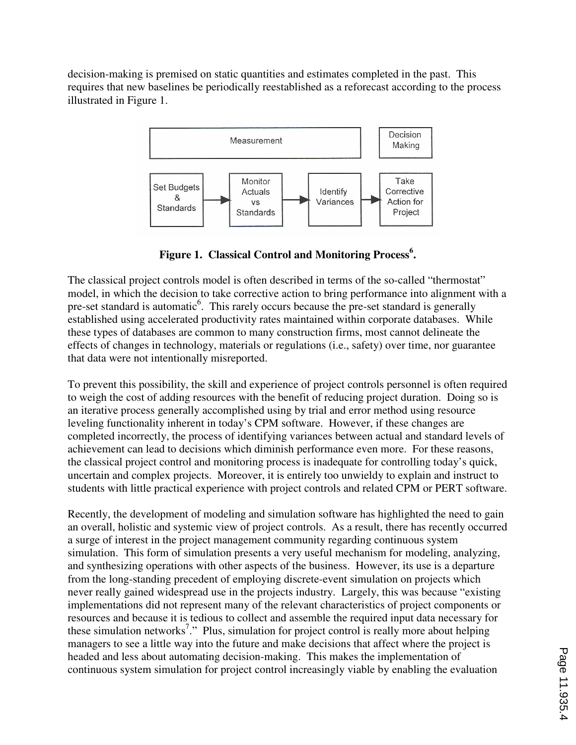decision-making is premised on static quantities and estimates completed in the past. This requires that new baselines be periodically reestablished as a reforecast according to the process illustrated in Figure 1.



**Figure 1. Classical Control and Monitoring Process<sup>6</sup> .** 

The classical project controls model is often described in terms of the so-called "thermostat" model, in which the decision to take corrective action to bring performance into alignment with a pre-set standard is automatic<sup>6</sup>. This rarely occurs because the pre-set standard is generally established using accelerated productivity rates maintained within corporate databases. While these types of databases are common to many construction firms, most cannot delineate the effects of changes in technology, materials or regulations (i.e., safety) over time, nor guarantee that data were not intentionally misreported.

To prevent this possibility, the skill and experience of project controls personnel is often required to weigh the cost of adding resources with the benefit of reducing project duration. Doing so is an iterative process generally accomplished using by trial and error method using resource leveling functionality inherent in today's CPM software. However, if these changes are completed incorrectly, the process of identifying variances between actual and standard levels of achievement can lead to decisions which diminish performance even more. For these reasons, the classical project control and monitoring process is inadequate for controlling today's quick, uncertain and complex projects. Moreover, it is entirely too unwieldy to explain and instruct to students with little practical experience with project controls and related CPM or PERT software.

Recently, the development of modeling and simulation software has highlighted the need to gain an overall, holistic and systemic view of project controls. As a result, there has recently occurred a surge of interest in the project management community regarding continuous system simulation. This form of simulation presents a very useful mechanism for modeling, analyzing, and synthesizing operations with other aspects of the business. However, its use is a departure from the long-standing precedent of employing discrete-event simulation on projects which never really gained widespread use in the projects industry. Largely, this was because "existing implementations did not represent many of the relevant characteristics of project components or resources and because it is tedious to collect and assemble the required input data necessary for these simulation networks<sup>7</sup>." Plus, simulation for project control is really more about helping managers to see a little way into the future and make decisions that affect where the project is headed and less about automating decision-making. This makes the implementation of continuous system simulation for project control increasingly viable by enabling the evaluation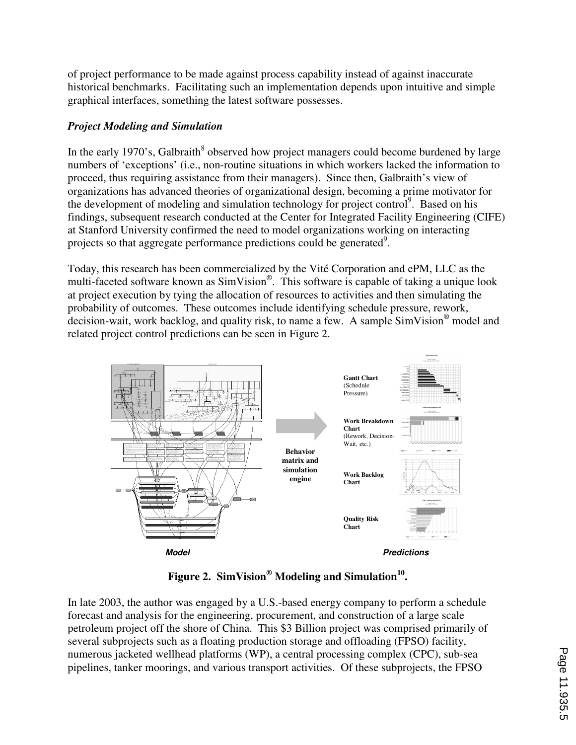of project performance to be made against process capability instead of against inaccurate historical benchmarks. Facilitating such an implementation depends upon intuitive and simple graphical interfaces, something the latest software possesses.

## *Project Modeling and Simulation*

In the early 1970's, Galbraith $^8$  observed how project managers could become burdened by large numbers of 'exceptions' (i.e., non-routine situations in which workers lacked the information to proceed, thus requiring assistance from their managers). Since then, Galbraith's view of organizations has advanced theories of organizational design, becoming a prime motivator for the development of modeling and simulation technology for project control<sup>9</sup>. Based on his findings, subsequent research conducted at the Center for Integrated Facility Engineering (CIFE) at Stanford University confirmed the need to model organizations working on interacting projects so that aggregate performance predictions could be generated $9$ .

Today, this research has been commercialized by the Vité Corporation and ePM, LLC as the multi-faceted software known as SimVision<sup>®</sup>. This software is capable of taking a unique look at project execution by tying the allocation of resources to activities and then simulating the probability of outcomes. These outcomes include identifying schedule pressure, rework, decision-wait, work backlog, and quality risk, to name a few. A sample SimVision® model and related project control predictions can be seen in Figure 2.



# **Figure 2. SimVision® Modeling and Simulation<sup>10</sup> .**

In late 2003, the author was engaged by a U.S.-based energy company to perform a schedule forecast and analysis for the engineering, procurement, and construction of a large scale petroleum project off the shore of China. This \$3 Billion project was comprised primarily of several subprojects such as a floating production storage and offloading (FPSO) facility, numerous jacketed wellhead platforms (WP), a central processing complex (CPC), sub-sea pipelines, tanker moorings, and various transport activities. Of these subprojects, the FPSO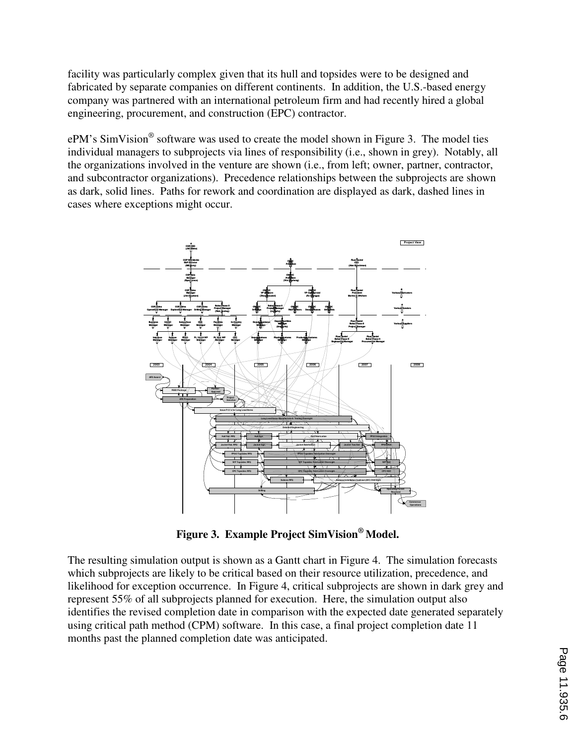facility was particularly complex given that its hull and topsides were to be designed and fabricated by separate companies on different continents. In addition, the U.S.-based energy company was partnered with an international petroleum firm and had recently hired a global engineering, procurement, and construction (EPC) contractor.

 $ePM$ 's SimVision<sup>®</sup> software was used to create the model shown in Figure 3. The model ties individual managers to subprojects via lines of responsibility (i.e., shown in grey). Notably, all the organizations involved in the venture are shown (i.e., from left; owner, partner, contractor, and subcontractor organizations). Precedence relationships between the subprojects are shown as dark, solid lines. Paths for rework and coordination are displayed as dark, dashed lines in cases where exceptions might occur.



**Figure 3. Example Project SimVision® Model.** 

The resulting simulation output is shown as a Gantt chart in Figure 4. The simulation forecasts which subprojects are likely to be critical based on their resource utilization, precedence, and likelihood for exception occurrence. In Figure 4, critical subprojects are shown in dark grey and represent 55% of all subprojects planned for execution. Here, the simulation output also identifies the revised completion date in comparison with the expected date generated separately using critical path method (CPM) software. In this case, a final project completion date 11 months past the planned completion date was anticipated.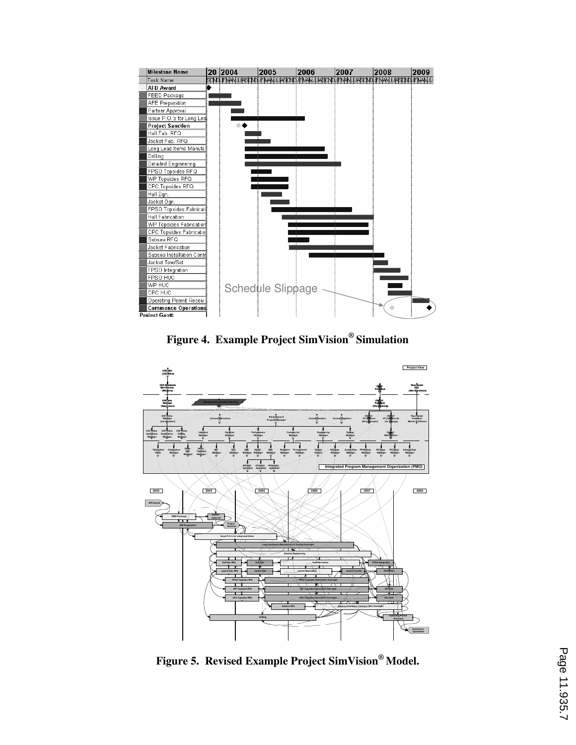

**Figure 4. Example Project SimVision® Simulation** 



**Figure 5. Revised Example Project SimVision® Model.**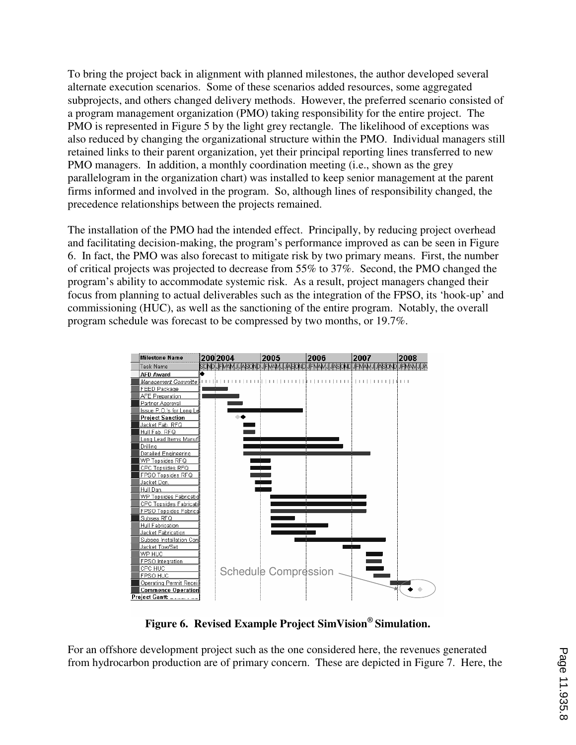To bring the project back in alignment with planned milestones, the author developed several alternate execution scenarios. Some of these scenarios added resources, some aggregated subprojects, and others changed delivery methods. However, the preferred scenario consisted of a program management organization (PMO) taking responsibility for the entire project. The PMO is represented in Figure 5 by the light grey rectangle. The likelihood of exceptions was also reduced by changing the organizational structure within the PMO. Individual managers still retained links to their parent organization, yet their principal reporting lines transferred to new PMO managers. In addition, a monthly coordination meeting (i.e., shown as the grey parallelogram in the organization chart) was installed to keep senior management at the parent firms informed and involved in the program. So, although lines of responsibility changed, the precedence relationships between the projects remained.

The installation of the PMO had the intended effect. Principally, by reducing project overhead and facilitating decision-making, the program's performance improved as can be seen in Figure 6. In fact, the PMO was also forecast to mitigate risk by two primary means. First, the number of critical projects was projected to decrease from 55% to 37%. Second, the PMO changed the program's ability to accommodate systemic risk. As a result, project managers changed their focus from planning to actual deliverables such as the integration of the FPSO, its 'hook-up' and commissioning (HUC), as well as the sanctioning of the entire program. Notably, the overall program schedule was forecast to be compressed by two months, or 19.7%.



**Figure 6. Revised Example Project SimVision® Simulation.** 

For an offshore development project such as the one considered here, the revenues generated from hydrocarbon production are of primary concern. These are depicted in Figure 7. Here, the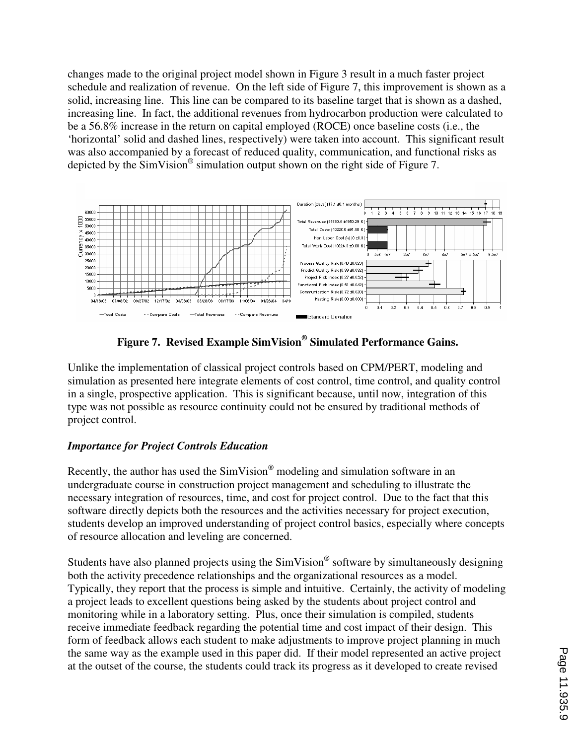changes made to the original project model shown in Figure 3 result in a much faster project schedule and realization of revenue. On the left side of Figure 7, this improvement is shown as a solid, increasing line. This line can be compared to its baseline target that is shown as a dashed, increasing line. In fact, the additional revenues from hydrocarbon production were calculated to be a 56.8% increase in the return on capital employed (ROCE) once baseline costs (i.e., the 'horizontal' solid and dashed lines, respectively) were taken into account. This significant result was also accompanied by a forecast of reduced quality, communication, and functional risks as depicted by the  $SimVision^{\circledast}$  simulation output shown on the right side of Figure 7.





Unlike the implementation of classical project controls based on CPM/PERT, modeling and simulation as presented here integrate elements of cost control, time control, and quality control in a single, prospective application. This is significant because, until now, integration of this type was not possible as resource continuity could not be ensured by traditional methods of project control.

## *Importance for Project Controls Education*

Recently, the author has used the  $SimVision^{\circledast}$  modeling and simulation software in an undergraduate course in construction project management and scheduling to illustrate the necessary integration of resources, time, and cost for project control. Due to the fact that this software directly depicts both the resources and the activities necessary for project execution, students develop an improved understanding of project control basics, especially where concepts of resource allocation and leveling are concerned.

Students have also planned projects using the  $SimVision^{\circledast}$  software by simultaneously designing both the activity precedence relationships and the organizational resources as a model. Typically, they report that the process is simple and intuitive. Certainly, the activity of modeling a project leads to excellent questions being asked by the students about project control and monitoring while in a laboratory setting. Plus, once their simulation is compiled, students receive immediate feedback regarding the potential time and cost impact of their design. This form of feedback allows each student to make adjustments to improve project planning in much the same way as the example used in this paper did. If their model represented an active project at the outset of the course, the students could track its progress as it developed to create revised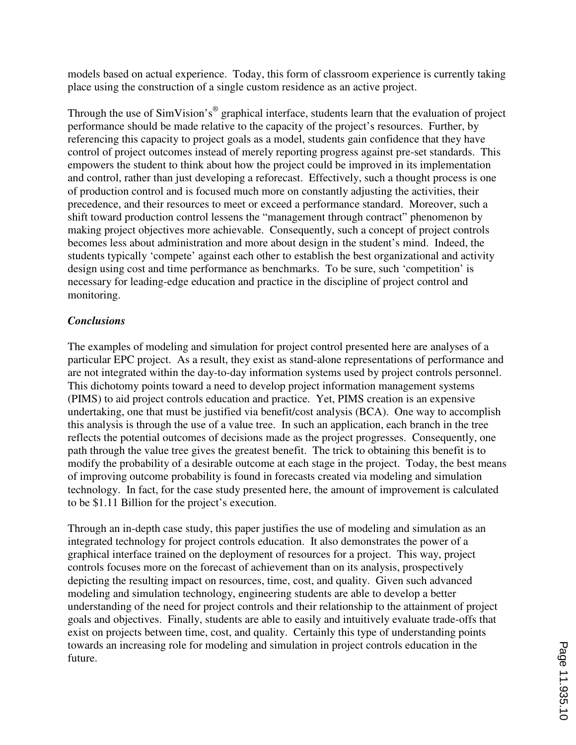models based on actual experience. Today, this form of classroom experience is currently taking place using the construction of a single custom residence as an active project.

Through the use of SimVision's<sup>®</sup> graphical interface, students learn that the evaluation of project performance should be made relative to the capacity of the project's resources. Further, by referencing this capacity to project goals as a model, students gain confidence that they have control of project outcomes instead of merely reporting progress against pre-set standards. This empowers the student to think about how the project could be improved in its implementation and control, rather than just developing a reforecast. Effectively, such a thought process is one of production control and is focused much more on constantly adjusting the activities, their precedence, and their resources to meet or exceed a performance standard. Moreover, such a shift toward production control lessens the "management through contract" phenomenon by making project objectives more achievable. Consequently, such a concept of project controls becomes less about administration and more about design in the student's mind. Indeed, the students typically 'compete' against each other to establish the best organizational and activity design using cost and time performance as benchmarks. To be sure, such 'competition' is necessary for leading-edge education and practice in the discipline of project control and monitoring.

### *Conclusions*

The examples of modeling and simulation for project control presented here are analyses of a particular EPC project. As a result, they exist as stand-alone representations of performance and are not integrated within the day-to-day information systems used by project controls personnel. This dichotomy points toward a need to develop project information management systems (PIMS) to aid project controls education and practice. Yet, PIMS creation is an expensive undertaking, one that must be justified via benefit/cost analysis (BCA). One way to accomplish this analysis is through the use of a value tree. In such an application, each branch in the tree reflects the potential outcomes of decisions made as the project progresses. Consequently, one path through the value tree gives the greatest benefit. The trick to obtaining this benefit is to modify the probability of a desirable outcome at each stage in the project. Today, the best means of improving outcome probability is found in forecasts created via modeling and simulation technology. In fact, for the case study presented here, the amount of improvement is calculated to be \$1.11 Billion for the project's execution.

Through an in-depth case study, this paper justifies the use of modeling and simulation as an integrated technology for project controls education. It also demonstrates the power of a graphical interface trained on the deployment of resources for a project. This way, project controls focuses more on the forecast of achievement than on its analysis, prospectively depicting the resulting impact on resources, time, cost, and quality. Given such advanced modeling and simulation technology, engineering students are able to develop a better understanding of the need for project controls and their relationship to the attainment of project goals and objectives. Finally, students are able to easily and intuitively evaluate trade-offs that exist on projects between time, cost, and quality. Certainly this type of understanding points towards an increasing role for modeling and simulation in project controls education in the future.